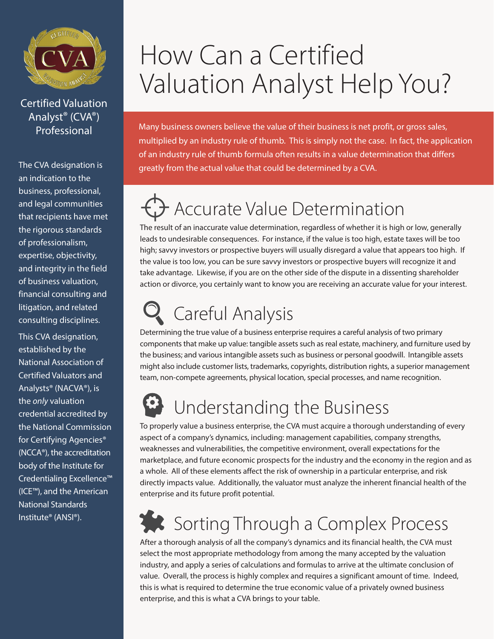

Certified Valuation Analyst® (CVA®)

The CVA designation is an indication to the business, professional, and legal communities that recipients have met the rigorous standards of professionalism, expertise, objectivity, and integrity in the field of business valuation, financial consulting and litigation, and related consulting disciplines.

This CVA designation, established by the National Association of Certified Valuators and Analysts® (NACVA®), is the *only* valuation credential accredited by the National Commission for Certifying Agencies® (NCCA®), the accreditation body of the Institute for Credentialing Excellence™ (ICE™), and the American National Standards Institute® (ANSI®).

## How Can a Certified Valuation Analyst Help You?

Professional Many business owners believe the value of their business is net profit, or gross sales, multiplied by an industry rule of thumb. This is simply not the case. In fact, the application of an industry rule of thumb formula often results in a value determination that differs greatly from the actual value that could be determined by a CVA.

#### $\bigtriangledown$  Accurate Value Determination

The result of an inaccurate value determination, regardless of whether it is high or low, generally leads to undesirable consequences. For instance, if the value is too high, estate taxes will be too high; savvy investors or prospective buyers will usually disregard a value that appears too high. If the value is too low, you can be sure savvy investors or prospective buyers will recognize it and take advantage. Likewise, if you are on the other side of the dispute in a dissenting shareholder action or divorce, you certainly want to know you are receiving an accurate value for your interest.

### Careful Analysis

Determining the true value of a business enterprise requires a careful analysis of two primary components that make up value: tangible assets such as real estate, machinery, and furniture used by the business; and various intangible assets such as business or personal goodwill. Intangible assets might also include customer lists, trademarks, copyrights, distribution rights, a superior management team, non-compete agreements, physical location, special processes, and name recognition.

### **B** Understanding the Business

To properly value a business enterprise, the CVA must acquire a thorough understanding of every aspect of a company's dynamics, including: management capabilities, company strengths, weaknesses and vulnerabilities, the competitive environment, overall expectations for the marketplace, and future economic prospects for the industry and the economy in the region and as a whole. All of these elements affect the risk of ownership in a particular enterprise, and risk directly impacts value. Additionally, the valuator must analyze the inherent financial health of the enterprise and its future profit potential.

### Sorting Through a Complex Process

After a thorough analysis of all the company's dynamics and its financial health, the CVA must select the most appropriate methodology from among the many accepted by the valuation industry, and apply a series of calculations and formulas to arrive at the ultimate conclusion of value. Overall, the process is highly complex and requires a significant amount of time. Indeed, this is what is required to determine the true economic value of a privately owned business enterprise, and this is what a CVA brings to your table.